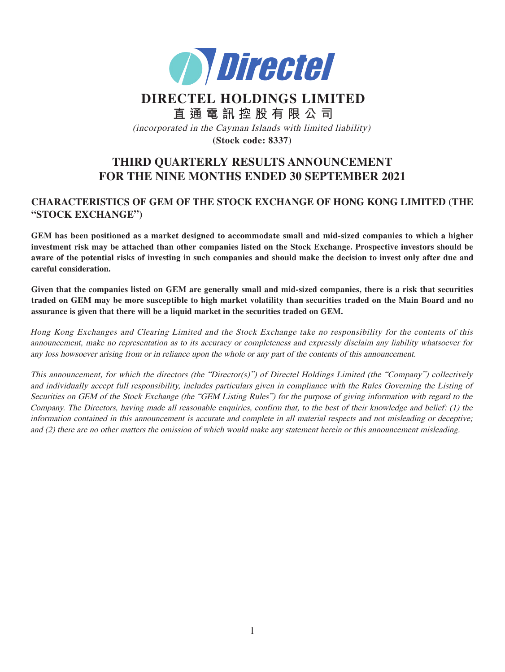

# **DIRECTEL HOLDINGS LIMITED 直通電訊控股有限公司** (incorporated in the Cayman Islands with limited liability) **(Stock code: 8337)**

# **THIRD QUARTERLY RESULTS ANNOUNCEMENT FOR THE NINE MONTHS ENDED 30 SEPTEMBER 2021**

# **CHARACTERISTICS OF GEM OF THE STOCK EXCHANGE OF HONG KONG LIMITED (THE "STOCK EXCHANGE")**

**GEM has been positioned as a market designed to accommodate small and mid-sized companies to which a higher investment risk may be attached than other companies listed on the Stock Exchange. Prospective investors should be aware of the potential risks of investing in such companies and should make the decision to invest only after due and careful consideration.**

**Given that the companies listed on GEM are generally small and mid-sized companies, there is a risk that securities traded on GEM may be more susceptible to high market volatility than securities traded on the Main Board and no assurance is given that there will be a liquid market in the securities traded on GEM.**

Hong Kong Exchanges and Clearing Limited and the Stock Exchange take no responsibility for the contents of this announcement, make no representation as to its accuracy or completeness and expressly disclaim any liability whatsoever for any loss howsoever arising from or in reliance upon the whole or any part of the contents of this announcement.

This announcement, for which the directors (the "Director(s)") of Directel Holdings Limited (the "Company") collectively and individually accept full responsibility, includes particulars given in compliance with the Rules Governing the Listing of Securities on GEM of the Stock Exchange (the "GEM Listing Rules") for the purpose of giving information with regard to the Company. The Directors, having made all reasonable enquiries, confirm that, to the best of their knowledge and belief: (1) the information contained in this announcement is accurate and complete in all material respects and not misleading or deceptive; and (2) there are no other matters the omission of which would make any statement herein or this announcement misleading.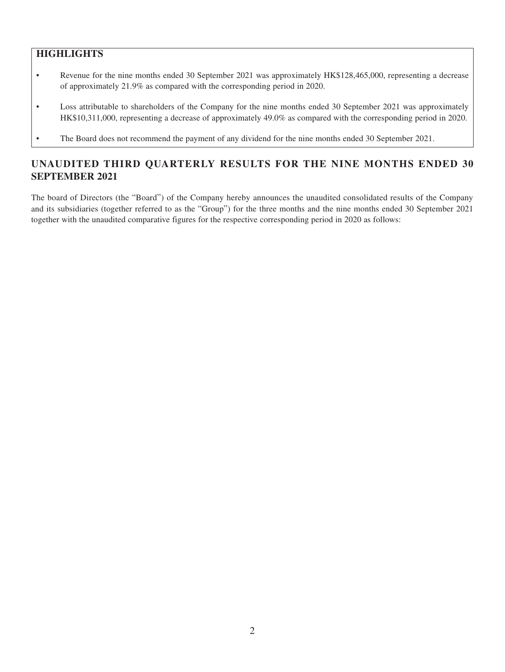# **HIGHLIGHTS**

- Revenue for the nine months ended 30 September 2021 was approximately HK\$128,465,000, representing a decrease of approximately 21.9% as compared with the corresponding period in 2020.
- Loss attributable to shareholders of the Company for the nine months ended 30 September 2021 was approximately HK\$10,311,000, representing a decrease of approximately 49.0% as compared with the corresponding period in 2020.
- The Board does not recommend the payment of any dividend for the nine months ended 30 September 2021.

# **UNAUDITED THIRD QUARTERLY RESULTS FOR THE NINE MONTHS ENDED 30 SEPTEMBER 2021**

The board of Directors (the "Board") of the Company hereby announces the unaudited consolidated results of the Company and its subsidiaries (together referred to as the "Group") for the three months and the nine months ended 30 September 2021 together with the unaudited comparative figures for the respective corresponding period in 2020 as follows: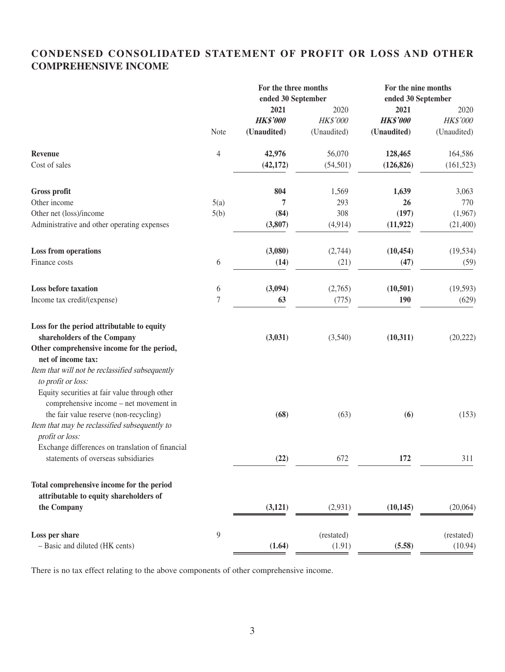# **CONDENSED CONSOLIDATED STATEMENT OF PROFIT OR LOSS AND OTHER COMPREHENSIVE INCOME**

| ended 30 September<br>ended 30 September<br>2021<br>2020<br>2021<br>2020<br><b>HK\$'000</b><br><b>HK\$'000</b><br>HK\$'000<br>HK\$'000<br>Note<br>(Unaudited)<br>(Unaudited)<br>(Unaudited)<br>(Unaudited)<br>42,976<br>56,070<br><b>Revenue</b><br>4<br>128,465<br>164,586<br>Cost of sales<br>(126, 826)<br>(42, 172)<br>(54, 501)<br>804<br>Gross profit<br>1,569<br>1,639<br>3,063<br>Other income<br>5(a)<br>7<br>293<br>770<br>26<br>308<br>Other net (loss)/income<br>5(b)<br>(197)<br>(84)<br>(1,967)<br>(3,807)<br>(4, 914)<br>(11, 922)<br>Administrative and other operating expenses<br>(3,080)<br>Loss from operations<br>(2,744)<br>(10, 454)<br>(19, 534)<br>Finance costs<br>6<br>(14)<br>(21)<br>(47)<br><b>Loss before taxation</b><br>(3,094)<br>(10, 501)<br>6<br>(2,765)<br>(19, 593)<br>7<br>63<br>(775)<br>190<br>Income tax credit/(expense)<br>Loss for the period attributable to equity<br>shareholders of the Company<br>(3,031)<br>(10, 311)<br>(3,540)<br>(20, 222)<br>Other comprehensive income for the period,<br>net of income tax:<br>Item that will not be reclassified subsequently<br>to profit or loss:<br>Equity securities at fair value through other<br>comprehensive income – net movement in<br>the fair value reserve (non-recycling)<br>(153)<br>(68)<br>(63)<br>(6)<br>Item that may be reclassified subsequently to<br>profit or loss:<br>Exchange differences on translation of financial<br>(22)<br>672<br>172<br>statements of overseas subsidiaries<br>311<br>Total comprehensive income for the period<br>attributable to equity shareholders of<br>the Company<br>(3, 121)<br>(2,931)<br>(10, 145)<br>$\overline{9}$<br>Loss per share<br>(restated)<br>(restated)<br>- Basic and diluted (HK cents)<br>(1.64)<br>(1.91)<br>(5.58) |  | For the three months |  | For the nine months |            |  |
|-------------------------------------------------------------------------------------------------------------------------------------------------------------------------------------------------------------------------------------------------------------------------------------------------------------------------------------------------------------------------------------------------------------------------------------------------------------------------------------------------------------------------------------------------------------------------------------------------------------------------------------------------------------------------------------------------------------------------------------------------------------------------------------------------------------------------------------------------------------------------------------------------------------------------------------------------------------------------------------------------------------------------------------------------------------------------------------------------------------------------------------------------------------------------------------------------------------------------------------------------------------------------------------------------------------------------------------------------------------------------------------------------------------------------------------------------------------------------------------------------------------------------------------------------------------------------------------------------------------------------------------------------------------------------------------------------------------------------------------------------------------------------------------------|--|----------------------|--|---------------------|------------|--|
|                                                                                                                                                                                                                                                                                                                                                                                                                                                                                                                                                                                                                                                                                                                                                                                                                                                                                                                                                                                                                                                                                                                                                                                                                                                                                                                                                                                                                                                                                                                                                                                                                                                                                                                                                                                           |  |                      |  |                     |            |  |
|                                                                                                                                                                                                                                                                                                                                                                                                                                                                                                                                                                                                                                                                                                                                                                                                                                                                                                                                                                                                                                                                                                                                                                                                                                                                                                                                                                                                                                                                                                                                                                                                                                                                                                                                                                                           |  |                      |  |                     |            |  |
|                                                                                                                                                                                                                                                                                                                                                                                                                                                                                                                                                                                                                                                                                                                                                                                                                                                                                                                                                                                                                                                                                                                                                                                                                                                                                                                                                                                                                                                                                                                                                                                                                                                                                                                                                                                           |  |                      |  |                     |            |  |
|                                                                                                                                                                                                                                                                                                                                                                                                                                                                                                                                                                                                                                                                                                                                                                                                                                                                                                                                                                                                                                                                                                                                                                                                                                                                                                                                                                                                                                                                                                                                                                                                                                                                                                                                                                                           |  |                      |  |                     |            |  |
|                                                                                                                                                                                                                                                                                                                                                                                                                                                                                                                                                                                                                                                                                                                                                                                                                                                                                                                                                                                                                                                                                                                                                                                                                                                                                                                                                                                                                                                                                                                                                                                                                                                                                                                                                                                           |  |                      |  |                     |            |  |
|                                                                                                                                                                                                                                                                                                                                                                                                                                                                                                                                                                                                                                                                                                                                                                                                                                                                                                                                                                                                                                                                                                                                                                                                                                                                                                                                                                                                                                                                                                                                                                                                                                                                                                                                                                                           |  |                      |  |                     | (161, 523) |  |
|                                                                                                                                                                                                                                                                                                                                                                                                                                                                                                                                                                                                                                                                                                                                                                                                                                                                                                                                                                                                                                                                                                                                                                                                                                                                                                                                                                                                                                                                                                                                                                                                                                                                                                                                                                                           |  |                      |  |                     |            |  |
|                                                                                                                                                                                                                                                                                                                                                                                                                                                                                                                                                                                                                                                                                                                                                                                                                                                                                                                                                                                                                                                                                                                                                                                                                                                                                                                                                                                                                                                                                                                                                                                                                                                                                                                                                                                           |  |                      |  |                     |            |  |
|                                                                                                                                                                                                                                                                                                                                                                                                                                                                                                                                                                                                                                                                                                                                                                                                                                                                                                                                                                                                                                                                                                                                                                                                                                                                                                                                                                                                                                                                                                                                                                                                                                                                                                                                                                                           |  |                      |  |                     |            |  |
|                                                                                                                                                                                                                                                                                                                                                                                                                                                                                                                                                                                                                                                                                                                                                                                                                                                                                                                                                                                                                                                                                                                                                                                                                                                                                                                                                                                                                                                                                                                                                                                                                                                                                                                                                                                           |  |                      |  |                     | (21,400)   |  |
|                                                                                                                                                                                                                                                                                                                                                                                                                                                                                                                                                                                                                                                                                                                                                                                                                                                                                                                                                                                                                                                                                                                                                                                                                                                                                                                                                                                                                                                                                                                                                                                                                                                                                                                                                                                           |  |                      |  |                     |            |  |
|                                                                                                                                                                                                                                                                                                                                                                                                                                                                                                                                                                                                                                                                                                                                                                                                                                                                                                                                                                                                                                                                                                                                                                                                                                                                                                                                                                                                                                                                                                                                                                                                                                                                                                                                                                                           |  |                      |  |                     | (59)       |  |
|                                                                                                                                                                                                                                                                                                                                                                                                                                                                                                                                                                                                                                                                                                                                                                                                                                                                                                                                                                                                                                                                                                                                                                                                                                                                                                                                                                                                                                                                                                                                                                                                                                                                                                                                                                                           |  |                      |  |                     |            |  |
|                                                                                                                                                                                                                                                                                                                                                                                                                                                                                                                                                                                                                                                                                                                                                                                                                                                                                                                                                                                                                                                                                                                                                                                                                                                                                                                                                                                                                                                                                                                                                                                                                                                                                                                                                                                           |  |                      |  |                     | (629)      |  |
|                                                                                                                                                                                                                                                                                                                                                                                                                                                                                                                                                                                                                                                                                                                                                                                                                                                                                                                                                                                                                                                                                                                                                                                                                                                                                                                                                                                                                                                                                                                                                                                                                                                                                                                                                                                           |  |                      |  |                     |            |  |
|                                                                                                                                                                                                                                                                                                                                                                                                                                                                                                                                                                                                                                                                                                                                                                                                                                                                                                                                                                                                                                                                                                                                                                                                                                                                                                                                                                                                                                                                                                                                                                                                                                                                                                                                                                                           |  |                      |  |                     |            |  |
|                                                                                                                                                                                                                                                                                                                                                                                                                                                                                                                                                                                                                                                                                                                                                                                                                                                                                                                                                                                                                                                                                                                                                                                                                                                                                                                                                                                                                                                                                                                                                                                                                                                                                                                                                                                           |  |                      |  |                     |            |  |
|                                                                                                                                                                                                                                                                                                                                                                                                                                                                                                                                                                                                                                                                                                                                                                                                                                                                                                                                                                                                                                                                                                                                                                                                                                                                                                                                                                                                                                                                                                                                                                                                                                                                                                                                                                                           |  |                      |  |                     |            |  |
|                                                                                                                                                                                                                                                                                                                                                                                                                                                                                                                                                                                                                                                                                                                                                                                                                                                                                                                                                                                                                                                                                                                                                                                                                                                                                                                                                                                                                                                                                                                                                                                                                                                                                                                                                                                           |  |                      |  |                     |            |  |
|                                                                                                                                                                                                                                                                                                                                                                                                                                                                                                                                                                                                                                                                                                                                                                                                                                                                                                                                                                                                                                                                                                                                                                                                                                                                                                                                                                                                                                                                                                                                                                                                                                                                                                                                                                                           |  |                      |  |                     |            |  |
|                                                                                                                                                                                                                                                                                                                                                                                                                                                                                                                                                                                                                                                                                                                                                                                                                                                                                                                                                                                                                                                                                                                                                                                                                                                                                                                                                                                                                                                                                                                                                                                                                                                                                                                                                                                           |  |                      |  |                     |            |  |
|                                                                                                                                                                                                                                                                                                                                                                                                                                                                                                                                                                                                                                                                                                                                                                                                                                                                                                                                                                                                                                                                                                                                                                                                                                                                                                                                                                                                                                                                                                                                                                                                                                                                                                                                                                                           |  |                      |  |                     |            |  |
|                                                                                                                                                                                                                                                                                                                                                                                                                                                                                                                                                                                                                                                                                                                                                                                                                                                                                                                                                                                                                                                                                                                                                                                                                                                                                                                                                                                                                                                                                                                                                                                                                                                                                                                                                                                           |  |                      |  |                     |            |  |
|                                                                                                                                                                                                                                                                                                                                                                                                                                                                                                                                                                                                                                                                                                                                                                                                                                                                                                                                                                                                                                                                                                                                                                                                                                                                                                                                                                                                                                                                                                                                                                                                                                                                                                                                                                                           |  |                      |  |                     |            |  |
|                                                                                                                                                                                                                                                                                                                                                                                                                                                                                                                                                                                                                                                                                                                                                                                                                                                                                                                                                                                                                                                                                                                                                                                                                                                                                                                                                                                                                                                                                                                                                                                                                                                                                                                                                                                           |  |                      |  |                     |            |  |
|                                                                                                                                                                                                                                                                                                                                                                                                                                                                                                                                                                                                                                                                                                                                                                                                                                                                                                                                                                                                                                                                                                                                                                                                                                                                                                                                                                                                                                                                                                                                                                                                                                                                                                                                                                                           |  |                      |  |                     |            |  |
|                                                                                                                                                                                                                                                                                                                                                                                                                                                                                                                                                                                                                                                                                                                                                                                                                                                                                                                                                                                                                                                                                                                                                                                                                                                                                                                                                                                                                                                                                                                                                                                                                                                                                                                                                                                           |  |                      |  |                     | (20,064)   |  |
|                                                                                                                                                                                                                                                                                                                                                                                                                                                                                                                                                                                                                                                                                                                                                                                                                                                                                                                                                                                                                                                                                                                                                                                                                                                                                                                                                                                                                                                                                                                                                                                                                                                                                                                                                                                           |  |                      |  |                     |            |  |
|                                                                                                                                                                                                                                                                                                                                                                                                                                                                                                                                                                                                                                                                                                                                                                                                                                                                                                                                                                                                                                                                                                                                                                                                                                                                                                                                                                                                                                                                                                                                                                                                                                                                                                                                                                                           |  |                      |  |                     | (10.94)    |  |

There is no tax effect relating to the above components of other comprehensive income.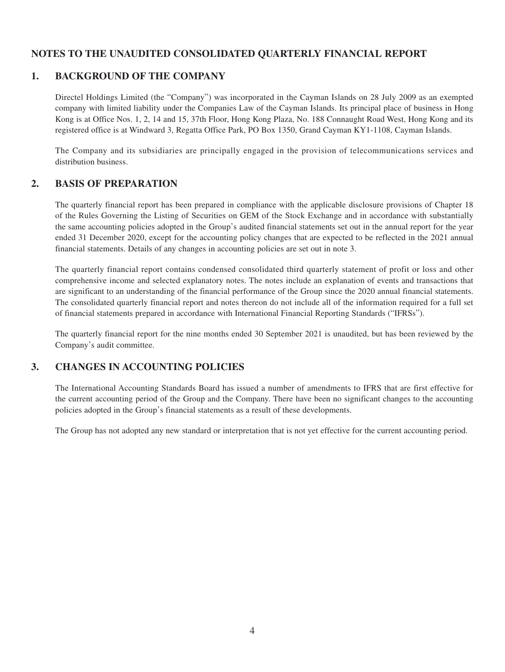# **NOTES TO THE UNAUDITED CONSOLIDATED QUARTERLY FINANCIAL REPORT**

# **1. BACKGROUND OF THE COMPANY**

Directel Holdings Limited (the "Company") was incorporated in the Cayman Islands on 28 July 2009 as an exempted company with limited liability under the Companies Law of the Cayman Islands. Its principal place of business in Hong Kong is at Office Nos. 1, 2, 14 and 15, 37th Floor, Hong Kong Plaza, No. 188 Connaught Road West, Hong Kong and its registered office is at Windward 3, Regatta Office Park, PO Box 1350, Grand Cayman KY1-1108, Cayman Islands.

The Company and its subsidiaries are principally engaged in the provision of telecommunications services and distribution business.

# **2. BASIS OF PREPARATION**

The quarterly financial report has been prepared in compliance with the applicable disclosure provisions of Chapter 18 of the Rules Governing the Listing of Securities on GEM of the Stock Exchange and in accordance with substantially the same accounting policies adopted in the Group's audited financial statements set out in the annual report for the year ended 31 December 2020, except for the accounting policy changes that are expected to be reflected in the 2021 annual financial statements. Details of any changes in accounting policies are set out in note 3.

The quarterly financial report contains condensed consolidated third quarterly statement of profit or loss and other comprehensive income and selected explanatory notes. The notes include an explanation of events and transactions that are significant to an understanding of the financial performance of the Group since the 2020 annual financial statements. The consolidated quarterly financial report and notes thereon do not include all of the information required for a full set of financial statements prepared in accordance with International Financial Reporting Standards ("IFRSs").

The quarterly financial report for the nine months ended 30 September 2021 is unaudited, but has been reviewed by the Company's audit committee.

# **3. CHANGES IN ACCOUNTING POLICIES**

The International Accounting Standards Board has issued a number of amendments to IFRS that are first effective for the current accounting period of the Group and the Company. There have been no significant changes to the accounting policies adopted in the Group's financial statements as a result of these developments.

The Group has not adopted any new standard or interpretation that is not yet effective for the current accounting period.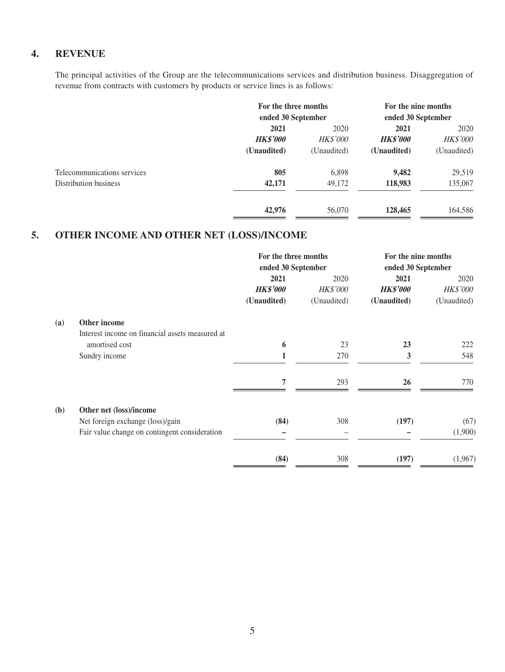# **4. REVENUE**

The principal activities of the Group are the telecommunications services and distribution business. Disaggregation of revenue from contracts with customers by products or service lines is as follows:

|                             |                 | For the three months<br>ended 30 September |                 | For the nine months<br>ended 30 September |
|-----------------------------|-----------------|--------------------------------------------|-----------------|-------------------------------------------|
|                             | 2021            | 2020                                       | 2021            | 2020                                      |
|                             | <b>HK\$'000</b> | <b>HK\$'000</b>                            | <b>HK\$'000</b> | HK\$'000                                  |
|                             | (Unaudited)     | (Unaudited)                                | (Unaudited)     | (Unaudited)                               |
| Telecommunications services | 805             | 6,898                                      | 9,482           | 29,519                                    |
| Distribution business       | 42,171          | 49,172                                     | 118,983         | 135,067                                   |
|                             | 42,976          | 56,070                                     | 128,465         | 164,586                                   |

# **5. OTHER INCOME AND OTHER NET (LOSS)/INCOME**

|     |                                                 | For the three months |                 | For the nine months |                 |
|-----|-------------------------------------------------|----------------------|-----------------|---------------------|-----------------|
|     |                                                 | ended 30 September   |                 | ended 30 September  |                 |
|     |                                                 | 2021                 | 2020            | 2021                | 2020            |
|     |                                                 | <b>HK\$'000</b>      | <b>HK\$'000</b> | <b>HK\$'000</b>     | <b>HK\$'000</b> |
|     |                                                 | (Unaudited)          | (Unaudited)     | (Unaudited)         | (Unaudited)     |
| (a) | Other income                                    |                      |                 |                     |                 |
|     | Interest income on financial assets measured at |                      |                 |                     |                 |
|     | amortised cost                                  | 6                    | 23              | 23                  | 222             |
|     | Sundry income                                   | 1                    | 270             | 3                   | 548             |
|     |                                                 | 7                    | 293             | 26                  | 770             |
| (b) | Other net (loss)/income                         |                      |                 |                     |                 |
|     | Net foreign exchange (loss)/gain                | (84)                 | 308             | (197)               | (67)            |
|     | Fair value change on contingent consideration   |                      |                 |                     | (1,900)         |
|     |                                                 | (84)                 | 308             | (197)               | (1,967)         |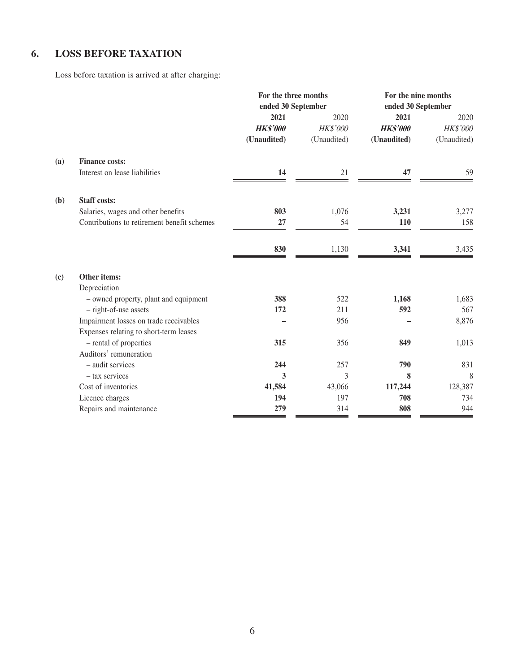# **6. LOSS BEFORE TAXATION**

Loss before taxation is arrived at after charging:

|     |                                             | For the three months |                 | For the nine months |             |  |
|-----|---------------------------------------------|----------------------|-----------------|---------------------|-------------|--|
|     |                                             | ended 30 September   |                 | ended 30 September  |             |  |
|     |                                             | 2021                 | 2020            | 2021                | 2020        |  |
|     |                                             | <b>HK\$'000</b>      | <b>HK\$'000</b> | <b>HK\$'000</b>     | HK\$'000    |  |
|     |                                             | (Unaudited)          | (Unaudited)     | (Unaudited)         | (Unaudited) |  |
| (a) | <b>Finance costs:</b>                       |                      |                 |                     |             |  |
|     | Interest on lease liabilities               | 14                   | 21              | 47                  | 59          |  |
| (b) | <b>Staff costs:</b>                         |                      |                 |                     |             |  |
|     | Salaries, wages and other benefits          | 803                  | 1,076           | 3,231               | 3,277       |  |
|     | Contributions to retirement benefit schemes | 27                   | 54              | 110                 | 158         |  |
|     |                                             | 830                  | 1,130           | 3,341               | 3,435       |  |
| (c) | Other items:                                |                      |                 |                     |             |  |
|     | Depreciation                                |                      |                 |                     |             |  |
|     | - owned property, plant and equipment       | 388                  | 522             | 1,168               | 1,683       |  |
|     | - right-of-use assets                       | 172                  | 211             | 592                 | 567         |  |
|     | Impairment losses on trade receivables      |                      | 956             |                     | 8,876       |  |
|     | Expenses relating to short-term leases      |                      |                 |                     |             |  |
|     | - rental of properties                      | 315                  | 356             | 849                 | 1,013       |  |
|     | Auditors' remuneration                      |                      |                 |                     |             |  |
|     | - audit services                            | 244                  | 257             | 790                 | 831         |  |
|     | - tax services                              | 3                    | 3               | 8                   | 8           |  |
|     | Cost of inventories                         | 41,584               | 43,066          | 117,244             | 128,387     |  |
|     | Licence charges                             | 194                  | 197             | 708                 | 734         |  |
|     | Repairs and maintenance                     | 279                  | 314             | 808                 | 944         |  |
|     |                                             |                      |                 |                     |             |  |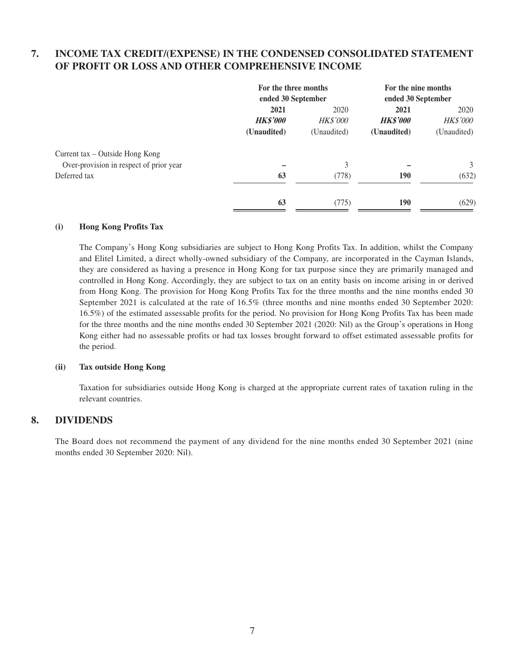# **7. INCOME TAX CREDIT/(EXPENSE) IN THE CONDENSED CONSOLIDATED STATEMENT OF PROFIT OR LOSS AND OTHER COMPREHENSIVE INCOME**

| For the three months |                 | For the nine months |                 |      |      |
|----------------------|-----------------|---------------------|-----------------|------|------|
|                      |                 | ended 30 September  |                 |      |      |
| 2021<br>2020         |                 |                     |                 | 2021 | 2020 |
| <b>HK\$'000</b>      | <b>HK\$'000</b> | <b>HK\$'000</b>     | <b>HK\$'000</b> |      |      |
| (Unaudited)          | (Unaudited)     | (Unaudited)         | (Unaudited)     |      |      |
|                      |                 |                     |                 |      |      |
|                      | 3               |                     | $\mathfrak{Z}$  |      |      |
| 63                   | (778)           | 190                 | (632)           |      |      |
| 63                   | (775)           | 190                 | (629)           |      |      |
|                      |                 | ended 30 September  |                 |      |      |

#### **(i) Hong Kong Profits Tax**

The Company's Hong Kong subsidiaries are subject to Hong Kong Profits Tax. In addition, whilst the Company and Elitel Limited, a direct wholly-owned subsidiary of the Company, are incorporated in the Cayman Islands, they are considered as having a presence in Hong Kong for tax purpose since they are primarily managed and controlled in Hong Kong. Accordingly, they are subject to tax on an entity basis on income arising in or derived from Hong Kong. The provision for Hong Kong Profits Tax for the three months and the nine months ended 30 September 2021 is calculated at the rate of 16.5% (three months and nine months ended 30 September 2020: 16.5%) of the estimated assessable profits for the period. No provision for Hong Kong Profits Tax has been made for the three months and the nine months ended 30 September 2021 (2020: Nil) as the Group's operations in Hong Kong either had no assessable profits or had tax losses brought forward to offset estimated assessable profits for the period.

#### **(ii) Tax outside Hong Kong**

Taxation for subsidiaries outside Hong Kong is charged at the appropriate current rates of taxation ruling in the relevant countries.

## **8. DIVIDENDS**

The Board does not recommend the payment of any dividend for the nine months ended 30 September 2021 (nine months ended 30 September 2020: Nil).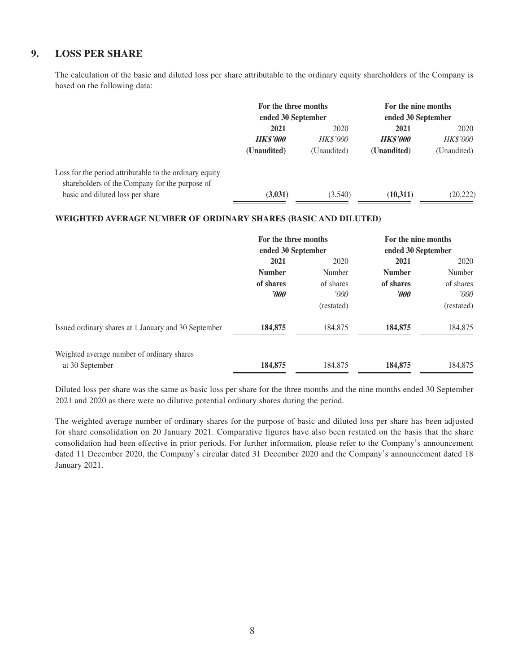# **9. LOSS PER SHARE**

The calculation of the basic and diluted loss per share attributable to the ordinary equity shareholders of the Company is based on the following data:

|                                                                                                           | For the three months<br>ended 30 September |                 | For the nine months<br>ended 30 September |                 |
|-----------------------------------------------------------------------------------------------------------|--------------------------------------------|-----------------|-------------------------------------------|-----------------|
|                                                                                                           | 2021<br>2020                               |                 | 2021                                      | 2020            |
|                                                                                                           | <b>HK\$'000</b>                            | <b>HK\$'000</b> | <b>HK\$'000</b>                           | <b>HK\$'000</b> |
|                                                                                                           | (Unaudited)                                | (Unaudited)     | (Unaudited)                               | (Unaudited)     |
| Loss for the period attributable to the ordinary equity<br>shareholders of the Company for the purpose of |                                            |                 |                                           |                 |
| basic and diluted loss per share                                                                          | (3,031)                                    | (3,540)         | (10,311)                                  | (20,222)        |

## **WEIGHTED AVERAGE NUMBER OF ORDINARY SHARES (BASIC AND DILUTED)**

|                                                      | For the three months |             | For the nine months     |                |
|------------------------------------------------------|----------------------|-------------|-------------------------|----------------|
|                                                      | ended 30 September   |             | ended 30 September      |                |
|                                                      | 2021                 | 2020        | 2021                    | 2020           |
|                                                      | <b>Number</b>        | Number      | <b>Number</b>           | Number         |
|                                                      | of shares            | of shares   | of shares               | of shares      |
|                                                      | $\boldsymbol{\it v}$ | $\dot{0}00$ | $\boldsymbol{\it v}$ 00 | $^{\prime}000$ |
|                                                      |                      | (restated)  |                         | (restated)     |
| Issued ordinary shares at 1 January and 30 September | 184,875              | 184,875     | 184,875                 | 184,875        |
| Weighted average number of ordinary shares           |                      |             |                         |                |
| at 30 September                                      | 184,875              | 184,875     | 184,875                 | 184,875        |

Diluted loss per share was the same as basic loss per share for the three months and the nine months ended 30 September 2021 and 2020 as there were no dilutive potential ordinary shares during the period.

The weighted average number of ordinary shares for the purpose of basic and diluted loss per share has been adjusted for share consolidation on 20 January 2021. Comparative figures have also been restated on the basis that the share consolidation had been effective in prior periods. For further information, please refer to the Company's announcement dated 11 December 2020, the Company's circular dated 31 December 2020 and the Company's announcement dated 18 January 2021.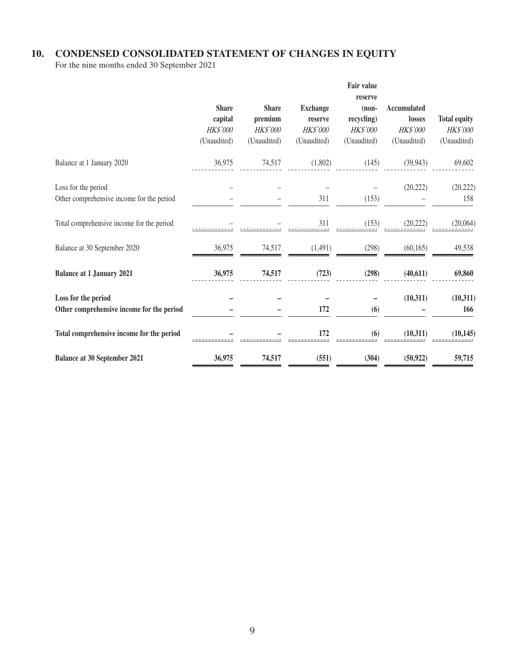# **10. CONDENSED CONSOLIDATED STATEMENT OF CHANGES IN EQUITY**

For the nine months ended 30 September 2021

|                                                                  |                                                           |                                                           |                                                              | <b>Fair value</b>                                                  |                                                         |                                                |
|------------------------------------------------------------------|-----------------------------------------------------------|-----------------------------------------------------------|--------------------------------------------------------------|--------------------------------------------------------------------|---------------------------------------------------------|------------------------------------------------|
|                                                                  | <b>Share</b><br>capital<br><b>HK\$'000</b><br>(Unaudited) | <b>Share</b><br>premium<br><b>HK\$'000</b><br>(Unaudited) | <b>Exchange</b><br>reserve<br><b>HK\$'000</b><br>(Unaudited) | reserve<br>$(non-$<br>recycling)<br><b>HK\$'000</b><br>(Unaudited) | Accumulated<br>losses<br><b>HK\$'000</b><br>(Unaudited) | <b>Total equity</b><br>HK\$'000<br>(Unaudited) |
| Balance at 1 January 2020                                        | 36,975                                                    | 74,517                                                    | (1,802)                                                      | (145)                                                              | (39, 943)                                               | 69,602                                         |
| Loss for the period<br>Other comprehensive income for the period |                                                           |                                                           | 311                                                          | (153)                                                              | (20, 222)                                               | (20, 222)<br>158                               |
| Total comprehensive income for the period                        |                                                           |                                                           | 311                                                          | (153)                                                              | (20, 222)                                               | (20,064)                                       |
| Balance at 30 September 2020                                     | 36,975                                                    | 74,517                                                    | (1,491)                                                      | (298)                                                              | (60, 165)                                               | 49,538                                         |
| <b>Balance at 1 January 2021</b>                                 | 36,975                                                    | 74,517                                                    | (723)                                                        | (298)                                                              | (40,611)                                                | 69,860                                         |
| Loss for the period<br>Other comprehensive income for the period |                                                           |                                                           | 172                                                          | (6)                                                                | (10,311)                                                | (10, 311)<br>166                               |
| Total comprehensive income for the period                        |                                                           |                                                           | 172                                                          | (6)                                                                | (10,311)                                                | (10, 145)                                      |
| <b>Balance at 30 September 2021</b>                              | 36,975                                                    | 74,517                                                    | (551)                                                        | (304)                                                              | (50, 922)                                               | 59,715                                         |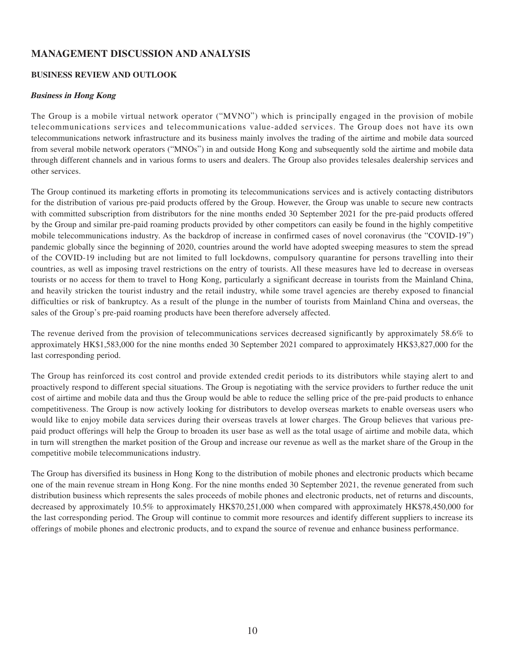# **MANAGEMENT DISCUSSION AND ANALYSIS**

## **BUSINESS REVIEW AND OUTLOOK**

### **Business in Hong Kong**

The Group is a mobile virtual network operator ("MVNO") which is principally engaged in the provision of mobile telecommunications services and telecommunications value-added services. The Group does not have its own telecommunications network infrastructure and its business mainly involves the trading of the airtime and mobile data sourced from several mobile network operators ("MNOs") in and outside Hong Kong and subsequently sold the airtime and mobile data through different channels and in various forms to users and dealers. The Group also provides telesales dealership services and other services.

The Group continued its marketing efforts in promoting its telecommunications services and is actively contacting distributors for the distribution of various pre-paid products offered by the Group. However, the Group was unable to secure new contracts with committed subscription from distributors for the nine months ended 30 September 2021 for the pre-paid products offered by the Group and similar pre-paid roaming products provided by other competitors can easily be found in the highly competitive mobile telecommunications industry. As the backdrop of increase in confirmed cases of novel coronavirus (the "COVID-19") pandemic globally since the beginning of 2020, countries around the world have adopted sweeping measures to stem the spread of the COVID-19 including but are not limited to full lockdowns, compulsory quarantine for persons travelling into their countries, as well as imposing travel restrictions on the entry of tourists. All these measures have led to decrease in overseas tourists or no access for them to travel to Hong Kong, particularly a significant decrease in tourists from the Mainland China, and heavily stricken the tourist industry and the retail industry, while some travel agencies are thereby exposed to financial difficulties or risk of bankruptcy. As a result of the plunge in the number of tourists from Mainland China and overseas, the sales of the Group's pre-paid roaming products have been therefore adversely affected.

The revenue derived from the provision of telecommunications services decreased significantly by approximately 58.6% to approximately HK\$1,583,000 for the nine months ended 30 September 2021 compared to approximately HK\$3,827,000 for the last corresponding period.

The Group has reinforced its cost control and provide extended credit periods to its distributors while staying alert to and proactively respond to different special situations. The Group is negotiating with the service providers to further reduce the unit cost of airtime and mobile data and thus the Group would be able to reduce the selling price of the pre-paid products to enhance competitiveness. The Group is now actively looking for distributors to develop overseas markets to enable overseas users who would like to enjoy mobile data services during their overseas travels at lower charges. The Group believes that various prepaid product offerings will help the Group to broaden its user base as well as the total usage of airtime and mobile data, which in turn will strengthen the market position of the Group and increase our revenue as well as the market share of the Group in the competitive mobile telecommunications industry.

The Group has diversified its business in Hong Kong to the distribution of mobile phones and electronic products which became one of the main revenue stream in Hong Kong. For the nine months ended 30 September 2021, the revenue generated from such distribution business which represents the sales proceeds of mobile phones and electronic products, net of returns and discounts, decreased by approximately 10.5% to approximately HK\$70,251,000 when compared with approximately HK\$78,450,000 for the last corresponding period. The Group will continue to commit more resources and identify different suppliers to increase its offerings of mobile phones and electronic products, and to expand the source of revenue and enhance business performance.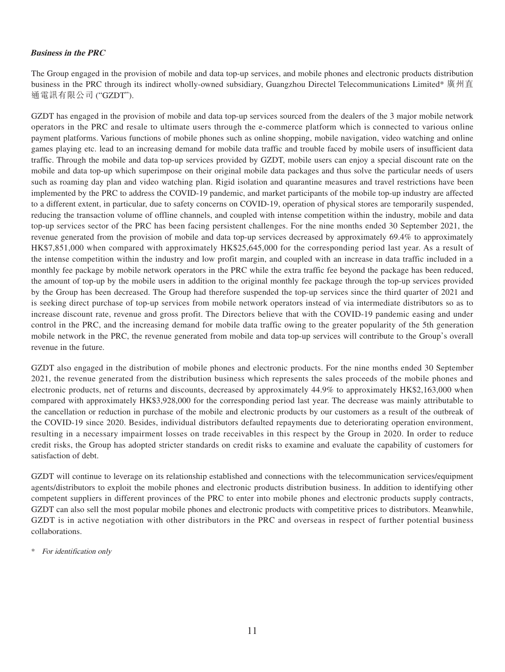### **Business in the PRC**

The Group engaged in the provision of mobile and data top-up services, and mobile phones and electronic products distribution business in the PRC through its indirect wholly-owned subsidiary, Guangzhou Directel Telecommunications Limited\* 廣州直 通電訊有限公司 ("GZDT").

GZDT has engaged in the provision of mobile and data top-up services sourced from the dealers of the 3 major mobile network operators in the PRC and resale to ultimate users through the e-commerce platform which is connected to various online payment platforms. Various functions of mobile phones such as online shopping, mobile navigation, video watching and online games playing etc. lead to an increasing demand for mobile data traffic and trouble faced by mobile users of insufficient data traffic. Through the mobile and data top-up services provided by GZDT, mobile users can enjoy a special discount rate on the mobile and data top-up which superimpose on their original mobile data packages and thus solve the particular needs of users such as roaming day plan and video watching plan. Rigid isolation and quarantine measures and travel restrictions have been implemented by the PRC to address the COVID-19 pandemic, and market participants of the mobile top-up industry are affected to a different extent, in particular, due to safety concerns on COVID-19, operation of physical stores are temporarily suspended, reducing the transaction volume of offline channels, and coupled with intense competition within the industry, mobile and data top-up services sector of the PRC has been facing persistent challenges. For the nine months ended 30 September 2021, the revenue generated from the provision of mobile and data top-up services decreased by approximately 69.4% to approximately HK\$7,851,000 when compared with approximately HK\$25,645,000 for the corresponding period last year. As a result of the intense competition within the industry and low profit margin, and coupled with an increase in data traffic included in a monthly fee package by mobile network operators in the PRC while the extra traffic fee beyond the package has been reduced, the amount of top-up by the mobile users in addition to the original monthly fee package through the top-up services provided by the Group has been decreased. The Group had therefore suspended the top-up services since the third quarter of 2021 and is seeking direct purchase of top-up services from mobile network operators instead of via intermediate distributors so as to increase discount rate, revenue and gross profit. The Directors believe that with the COVID-19 pandemic easing and under control in the PRC, and the increasing demand for mobile data traffic owing to the greater popularity of the 5th generation mobile network in the PRC, the revenue generated from mobile and data top-up services will contribute to the Group's overall revenue in the future.

GZDT also engaged in the distribution of mobile phones and electronic products. For the nine months ended 30 September 2021, the revenue generated from the distribution business which represents the sales proceeds of the mobile phones and electronic products, net of returns and discounts, decreased by approximately 44.9% to approximately HK\$2,163,000 when compared with approximately HK\$3,928,000 for the corresponding period last year. The decrease was mainly attributable to the cancellation or reduction in purchase of the mobile and electronic products by our customers as a result of the outbreak of the COVID-19 since 2020. Besides, individual distributors defaulted repayments due to deteriorating operation environment, resulting in a necessary impairment losses on trade receivables in this respect by the Group in 2020. In order to reduce credit risks, the Group has adopted stricter standards on credit risks to examine and evaluate the capability of customers for satisfaction of debt.

GZDT will continue to leverage on its relationship established and connections with the telecommunication services/equipment agents/distributors to exploit the mobile phones and electronic products distribution business. In addition to identifying other competent suppliers in different provinces of the PRC to enter into mobile phones and electronic products supply contracts, GZDT can also sell the most popular mobile phones and electronic products with competitive prices to distributors. Meanwhile, GZDT is in active negotiation with other distributors in the PRC and overseas in respect of further potential business collaborations.

\* For identification only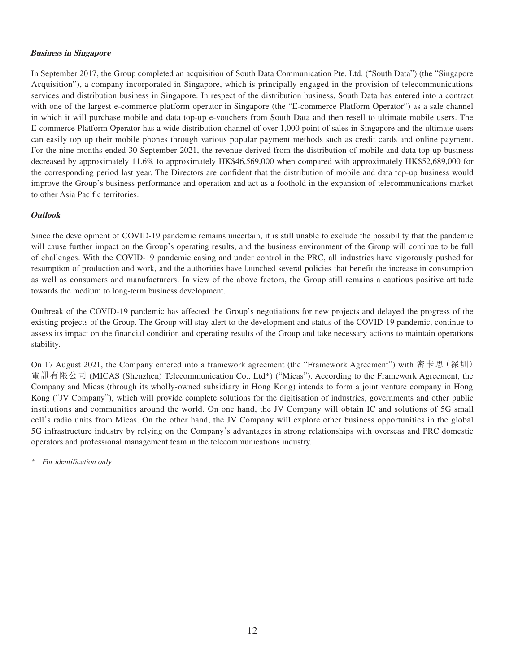#### **Business in Singapore**

In September 2017, the Group completed an acquisition of South Data Communication Pte. Ltd. ("South Data") (the "Singapore Acquisition"), a company incorporated in Singapore, which is principally engaged in the provision of telecommunications services and distribution business in Singapore. In respect of the distribution business, South Data has entered into a contract with one of the largest e-commerce platform operator in Singapore (the "E-commerce Platform Operator") as a sale channel in which it will purchase mobile and data top-up e-vouchers from South Data and then resell to ultimate mobile users. The E-commerce Platform Operator has a wide distribution channel of over 1,000 point of sales in Singapore and the ultimate users can easily top up their mobile phones through various popular payment methods such as credit cards and online payment. For the nine months ended 30 September 2021, the revenue derived from the distribution of mobile and data top-up business decreased by approximately 11.6% to approximately HK\$46,569,000 when compared with approximately HK\$52,689,000 for the corresponding period last year. The Directors are confident that the distribution of mobile and data top-up business would improve the Group's business performance and operation and act as a foothold in the expansion of telecommunications market to other Asia Pacific territories.

#### **Outlook**

Since the development of COVID-19 pandemic remains uncertain, it is still unable to exclude the possibility that the pandemic will cause further impact on the Group's operating results, and the business environment of the Group will continue to be full of challenges. With the COVID-19 pandemic easing and under control in the PRC, all industries have vigorously pushed for resumption of production and work, and the authorities have launched several policies that benefit the increase in consumption as well as consumers and manufacturers. In view of the above factors, the Group still remains a cautious positive attitude towards the medium to long-term business development.

Outbreak of the COVID-19 pandemic has affected the Group's negotiations for new projects and delayed the progress of the existing projects of the Group. The Group will stay alert to the development and status of the COVID-19 pandemic, continue to assess its impact on the financial condition and operating results of the Group and take necessary actions to maintain operations stability.

On 17 August 2021, the Company entered into a framework agreement (the "Framework Agreement") with 密卡思(深圳) 電訊有限公司 (MICAS (Shenzhen) Telecommunication Co., Ltd\*) ("Micas"). According to the Framework Agreement, the Company and Micas (through its wholly-owned subsidiary in Hong Kong) intends to form a joint venture company in Hong Kong ("JV Company"), which will provide complete solutions for the digitisation of industries, governments and other public institutions and communities around the world. On one hand, the JV Company will obtain IC and solutions of 5G small cell's radio units from Micas. On the other hand, the JV Company will explore other business opportunities in the global 5G infrastructure industry by relying on the Company's advantages in strong relationships with overseas and PRC domestic operators and professional management team in the telecommunications industry.

\* For identification only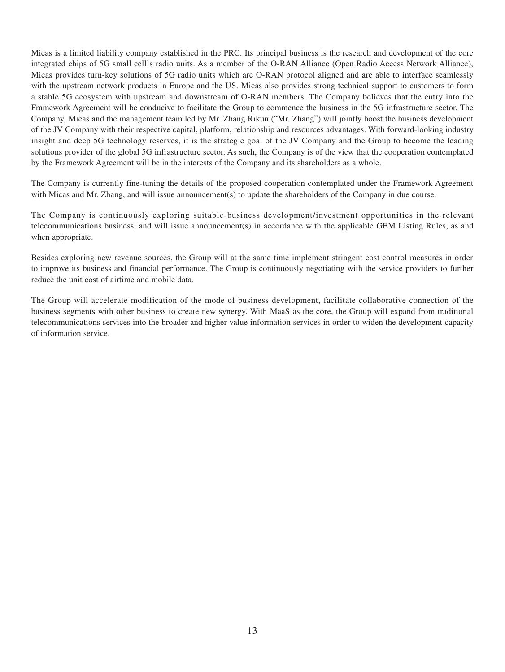Micas is a limited liability company established in the PRC. Its principal business is the research and development of the core integrated chips of 5G small cell's radio units. As a member of the O-RAN Alliance (Open Radio Access Network Alliance), Micas provides turn-key solutions of 5G radio units which are O-RAN protocol aligned and are able to interface seamlessly with the upstream network products in Europe and the US. Micas also provides strong technical support to customers to form a stable 5G ecosystem with upstream and downstream of O-RAN members. The Company believes that the entry into the Framework Agreement will be conducive to facilitate the Group to commence the business in the 5G infrastructure sector. The Company, Micas and the management team led by Mr. Zhang Rikun ("Mr. Zhang") will jointly boost the business development of the JV Company with their respective capital, platform, relationship and resources advantages. With forward-looking industry insight and deep 5G technology reserves, it is the strategic goal of the JV Company and the Group to become the leading solutions provider of the global 5G infrastructure sector. As such, the Company is of the view that the cooperation contemplated by the Framework Agreement will be in the interests of the Company and its shareholders as a whole.

The Company is currently fine-tuning the details of the proposed cooperation contemplated under the Framework Agreement with Micas and Mr. Zhang, and will issue announcement(s) to update the shareholders of the Company in due course.

The Company is continuously exploring suitable business development/investment opportunities in the relevant telecommunications business, and will issue announcement(s) in accordance with the applicable GEM Listing Rules, as and when appropriate.

Besides exploring new revenue sources, the Group will at the same time implement stringent cost control measures in order to improve its business and financial performance. The Group is continuously negotiating with the service providers to further reduce the unit cost of airtime and mobile data.

The Group will accelerate modification of the mode of business development, facilitate collaborative connection of the business segments with other business to create new synergy. With MaaS as the core, the Group will expand from traditional telecommunications services into the broader and higher value information services in order to widen the development capacity of information service.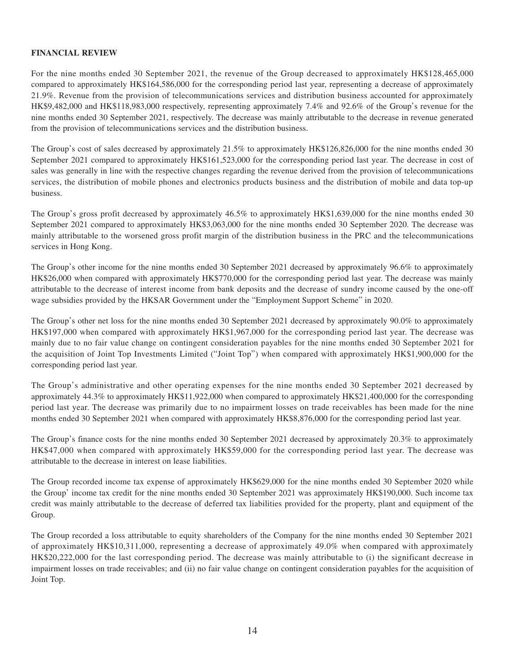### **FINANCIAL REVIEW**

For the nine months ended 30 September 2021, the revenue of the Group decreased to approximately HK\$128,465,000 compared to approximately HK\$164,586,000 for the corresponding period last year, representing a decrease of approximately 21.9%. Revenue from the provision of telecommunications services and distribution business accounted for approximately HK\$9,482,000 and HK\$118,983,000 respectively, representing approximately 7.4% and 92.6% of the Group's revenue for the nine months ended 30 September 2021, respectively. The decrease was mainly attributable to the decrease in revenue generated from the provision of telecommunications services and the distribution business.

The Group's cost of sales decreased by approximately 21.5% to approximately HK\$126,826,000 for the nine months ended 30 September 2021 compared to approximately HK\$161,523,000 for the corresponding period last year. The decrease in cost of sales was generally in line with the respective changes regarding the revenue derived from the provision of telecommunications services, the distribution of mobile phones and electronics products business and the distribution of mobile and data top-up business.

The Group's gross profit decreased by approximately 46.5% to approximately HK\$1,639,000 for the nine months ended 30 September 2021 compared to approximately HK\$3,063,000 for the nine months ended 30 September 2020. The decrease was mainly attributable to the worsened gross profit margin of the distribution business in the PRC and the telecommunications services in Hong Kong.

The Group's other income for the nine months ended 30 September 2021 decreased by approximately 96.6% to approximately HK\$26,000 when compared with approximately HK\$770,000 for the corresponding period last year. The decrease was mainly attributable to the decrease of interest income from bank deposits and the decrease of sundry income caused by the one-off wage subsidies provided by the HKSAR Government under the "Employment Support Scheme" in 2020.

The Group's other net loss for the nine months ended 30 September 2021 decreased by approximately 90.0% to approximately HK\$197,000 when compared with approximately HK\$1,967,000 for the corresponding period last year. The decrease was mainly due to no fair value change on contingent consideration payables for the nine months ended 30 September 2021 for the acquisition of Joint Top Investments Limited ("Joint Top") when compared with approximately HK\$1,900,000 for the corresponding period last year.

The Group's administrative and other operating expenses for the nine months ended 30 September 2021 decreased by approximately 44.3% to approximately HK\$11,922,000 when compared to approximately HK\$21,400,000 for the corresponding period last year. The decrease was primarily due to no impairment losses on trade receivables has been made for the nine months ended 30 September 2021 when compared with approximately HK\$8,876,000 for the corresponding period last year.

The Group's finance costs for the nine months ended 30 September 2021 decreased by approximately 20.3% to approximately HK\$47,000 when compared with approximately HK\$59,000 for the corresponding period last year. The decrease was attributable to the decrease in interest on lease liabilities.

The Group recorded income tax expense of approximately HK\$629,000 for the nine months ended 30 September 2020 while the Group' income tax credit for the nine months ended 30 September 2021 was approximately HK\$190,000. Such income tax credit was mainly attributable to the decrease of deferred tax liabilities provided for the property, plant and equipment of the Group.

The Group recorded a loss attributable to equity shareholders of the Company for the nine months ended 30 September 2021 of approximately HK\$10,311,000, representing a decrease of approximately 49.0% when compared with approximately HK\$20,222,000 for the last corresponding period. The decrease was mainly attributable to (i) the significant decrease in impairment losses on trade receivables; and (ii) no fair value change on contingent consideration payables for the acquisition of Joint Top.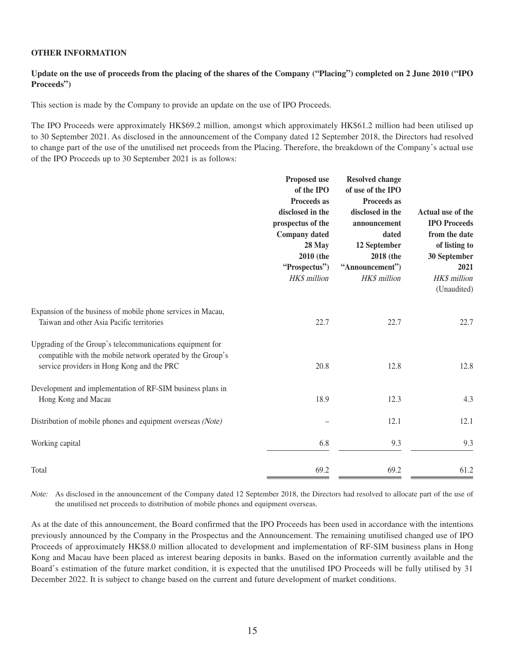#### **OTHER INFORMATION**

### **Update on the use of proceeds from the placing of the shares of the Company ("Placing") completed on 2 June 2010 ("IPO Proceeds")**

This section is made by the Company to provide an update on the use of IPO Proceeds.

The IPO Proceeds were approximately HK\$69.2 million, amongst which approximately HK\$61.2 million had been utilised up to 30 September 2021. As disclosed in the announcement of the Company dated 12 September 2018, the Directors had resolved to change part of the use of the unutilised net proceeds from the Placing. Therefore, the breakdown of the Company's actual use of the IPO Proceeds up to 30 September 2021 is as follows:

|                                                                                                                                                                       | Proposed use<br>of the IPO<br><b>Proceeds as</b><br>disclosed in the<br>prospectus of the<br><b>Company dated</b><br>28 May<br>2010 (the<br>"Prospectus")<br><b>HK\$</b> million | <b>Resolved change</b><br>of use of the IPO<br><b>Proceeds as</b><br>disclosed in the<br>announcement<br>dated<br>12 September<br>2018 (the<br>"Announcement")<br>HK\$ million | Actual use of the<br><b>IPO</b> Proceeds<br>from the date<br>of listing to<br>30 September<br>2021<br>HK\$ million<br>(Unaudited) |
|-----------------------------------------------------------------------------------------------------------------------------------------------------------------------|----------------------------------------------------------------------------------------------------------------------------------------------------------------------------------|--------------------------------------------------------------------------------------------------------------------------------------------------------------------------------|-----------------------------------------------------------------------------------------------------------------------------------|
| Expansion of the business of mobile phone services in Macau,                                                                                                          |                                                                                                                                                                                  |                                                                                                                                                                                |                                                                                                                                   |
| Taiwan and other Asia Pacific territories                                                                                                                             | 22.7                                                                                                                                                                             | 22.7                                                                                                                                                                           | 22.7                                                                                                                              |
| Upgrading of the Group's telecommunications equipment for<br>compatible with the mobile network operated by the Group's<br>service providers in Hong Kong and the PRC | 20.8                                                                                                                                                                             | 12.8                                                                                                                                                                           | 12.8                                                                                                                              |
| Development and implementation of RF-SIM business plans in                                                                                                            |                                                                                                                                                                                  |                                                                                                                                                                                |                                                                                                                                   |
| Hong Kong and Macau                                                                                                                                                   | 18.9                                                                                                                                                                             | 12.3                                                                                                                                                                           | 4.3                                                                                                                               |
| Distribution of mobile phones and equipment overseas (Note)                                                                                                           |                                                                                                                                                                                  | 12.1                                                                                                                                                                           | 12.1                                                                                                                              |
| Working capital                                                                                                                                                       | 6.8                                                                                                                                                                              | 9.3                                                                                                                                                                            | 9.3                                                                                                                               |
| Total                                                                                                                                                                 | 69.2                                                                                                                                                                             | 69.2                                                                                                                                                                           | 61.2                                                                                                                              |

Note: As disclosed in the announcement of the Company dated 12 September 2018, the Directors had resolved to allocate part of the use of the unutilised net proceeds to distribution of mobile phones and equipment overseas.

As at the date of this announcement, the Board confirmed that the IPO Proceeds has been used in accordance with the intentions previously announced by the Company in the Prospectus and the Announcement. The remaining unutilised changed use of IPO Proceeds of approximately HK\$8.0 million allocated to development and implementation of RF-SIM business plans in Hong Kong and Macau have been placed as interest bearing deposits in banks. Based on the information currently available and the Board's estimation of the future market condition, it is expected that the unutilised IPO Proceeds will be fully utilised by 31 December 2022. It is subject to change based on the current and future development of market conditions.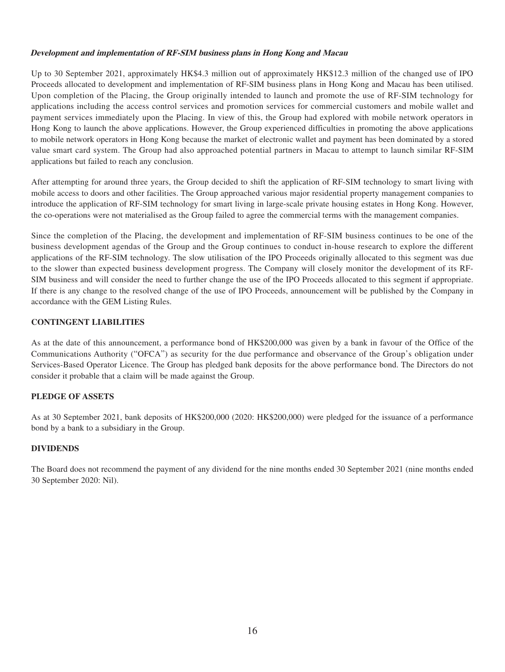## **Development and implementation of RF-SIM business plans in Hong Kong and Macau**

Up to 30 September 2021, approximately HK\$4.3 million out of approximately HK\$12.3 million of the changed use of IPO Proceeds allocated to development and implementation of RF-SIM business plans in Hong Kong and Macau has been utilised. Upon completion of the Placing, the Group originally intended to launch and promote the use of RF-SIM technology for applications including the access control services and promotion services for commercial customers and mobile wallet and payment services immediately upon the Placing. In view of this, the Group had explored with mobile network operators in Hong Kong to launch the above applications. However, the Group experienced difficulties in promoting the above applications to mobile network operators in Hong Kong because the market of electronic wallet and payment has been dominated by a stored value smart card system. The Group had also approached potential partners in Macau to attempt to launch similar RF-SIM applications but failed to reach any conclusion.

After attempting for around three years, the Group decided to shift the application of RF-SIM technology to smart living with mobile access to doors and other facilities. The Group approached various major residential property management companies to introduce the application of RF-SIM technology for smart living in large-scale private housing estates in Hong Kong. However, the co-operations were not materialised as the Group failed to agree the commercial terms with the management companies.

Since the completion of the Placing, the development and implementation of RF-SIM business continues to be one of the business development agendas of the Group and the Group continues to conduct in-house research to explore the different applications of the RF-SIM technology. The slow utilisation of the IPO Proceeds originally allocated to this segment was due to the slower than expected business development progress. The Company will closely monitor the development of its RF-SIM business and will consider the need to further change the use of the IPO Proceeds allocated to this segment if appropriate. If there is any change to the resolved change of the use of IPO Proceeds, announcement will be published by the Company in accordance with the GEM Listing Rules.

## **CONTINGENT LIABILITIES**

As at the date of this announcement, a performance bond of HK\$200,000 was given by a bank in favour of the Office of the Communications Authority ("OFCA") as security for the due performance and observance of the Group's obligation under Services-Based Operator Licence. The Group has pledged bank deposits for the above performance bond. The Directors do not consider it probable that a claim will be made against the Group.

### **PLEDGE OF ASSETS**

As at 30 September 2021, bank deposits of HK\$200,000 (2020: HK\$200,000) were pledged for the issuance of a performance bond by a bank to a subsidiary in the Group.

### **DIVIDENDS**

The Board does not recommend the payment of any dividend for the nine months ended 30 September 2021 (nine months ended 30 September 2020: Nil).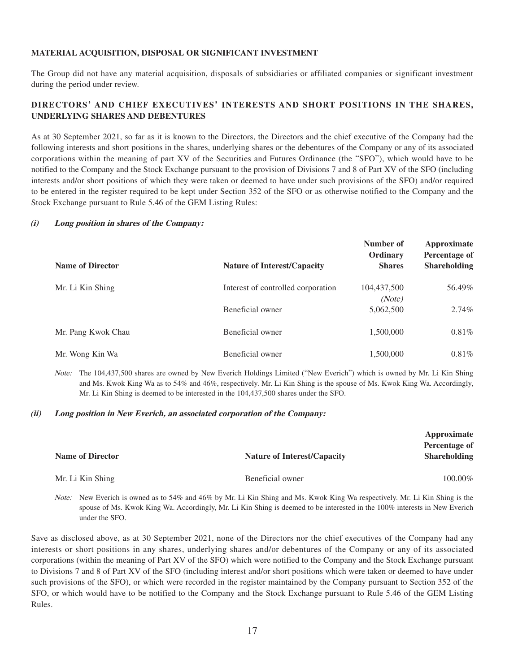### **MATERIAL ACQUISITION, DISPOSAL OR SIGNIFICANT INVESTMENT**

The Group did not have any material acquisition, disposals of subsidiaries or affiliated companies or significant investment during the period under review.

## **DIRECTORS' AND CHIEF EXECUTIVES' INTERESTS AND SHORT POSITIONS IN THE SHARES, UNDERLYING SHARES AND DEBENTURES**

As at 30 September 2021, so far as it is known to the Directors, the Directors and the chief executive of the Company had the following interests and short positions in the shares, underlying shares or the debentures of the Company or any of its associated corporations within the meaning of part XV of the Securities and Futures Ordinance (the "SFO"), which would have to be notified to the Company and the Stock Exchange pursuant to the provision of Divisions 7 and 8 of Part XV of the SFO (including interests and/or short positions of which they were taken or deemed to have under such provisions of the SFO) and/or required to be entered in the register required to be kept under Section 352 of the SFO or as otherwise notified to the Company and the Stock Exchange pursuant to Rule 5.46 of the GEM Listing Rules:

#### **(i) Long position in shares of the Company:**

| <b>Name of Director</b> | <b>Nature of Interest/Capacity</b> | Number of<br>Ordinary<br><b>Shares</b> | Approximate<br>Percentage of<br><b>Shareholding</b> |
|-------------------------|------------------------------------|----------------------------------------|-----------------------------------------------------|
| Mr. Li Kin Shing        | Interest of controlled corporation | 104,437,500<br>(Note)                  | 56.49%                                              |
|                         | Beneficial owner                   | 5,062,500                              | 2.74%                                               |
| Mr. Pang Kwok Chau      | Beneficial owner                   | 1,500,000                              | $0.81\%$                                            |
| Mr. Wong Kin Wa         | Beneficial owner                   | 1.500.000                              | $0.81\%$                                            |

Note: The 104,437,500 shares are owned by New Everich Holdings Limited ("New Everich") which is owned by Mr. Li Kin Shing and Ms. Kwok King Wa as to 54% and 46%, respectively. Mr. Li Kin Shing is the spouse of Ms. Kwok King Wa. Accordingly, Mr. Li Kin Shing is deemed to be interested in the 104,437,500 shares under the SFO.

#### **(ii) Long position in New Everich, an associated corporation of the Company:**

| <b>Name of Director</b>                                                                                                                                                                                                                                                                                                                              | <b>Nature of Interest/Capacity</b> | Approximate<br>Percentage of<br><b>Shareholding</b>                |
|------------------------------------------------------------------------------------------------------------------------------------------------------------------------------------------------------------------------------------------------------------------------------------------------------------------------------------------------------|------------------------------------|--------------------------------------------------------------------|
| Mr. Li Kin Shing                                                                                                                                                                                                                                                                                                                                     | Beneficial owner                   | 100.00%                                                            |
| $1 \cdot 7107$<br>$\mathbf{M}$ $\mathbf{M}$ $\mathbf{M}$ $\mathbf{M}$ $\mathbf{M}$ $\mathbf{M}$ $\mathbf{M}$ $\mathbf{M}$ $\mathbf{M}$ $\mathbf{M}$ $\mathbf{M}$ $\mathbf{M}$ $\mathbf{M}$ $\mathbf{M}$ $\mathbf{M}$ $\mathbf{M}$ $\mathbf{M}$ $\mathbf{M}$ $\mathbf{M}$ $\mathbf{M}$ $\mathbf{M}$ $\mathbf{M}$ $\mathbf{M}$ $\mathbf{M}$ $\mathbf{$ | $1.3.6$ $T$ $1.77$<br>$\mathbf{v}$ | $\mathbf{A}$ is the set of $\mathbf{A}$ is the set of $\mathbf{A}$ |

Note: New Everich is owned as to 54% and 46% by Mr. Li Kin Shing and Ms. Kwok King Wa respectively. Mr. Li Kin Shing is the spouse of Ms. Kwok King Wa. Accordingly, Mr. Li Kin Shing is deemed to be interested in the 100% interests in New Everich under the SFO.

Save as disclosed above, as at 30 September 2021, none of the Directors nor the chief executives of the Company had any interests or short positions in any shares, underlying shares and/or debentures of the Company or any of its associated corporations (within the meaning of Part XV of the SFO) which were notified to the Company and the Stock Exchange pursuant to Divisions 7 and 8 of Part XV of the SFO (including interest and/or short positions which were taken or deemed to have under such provisions of the SFO), or which were recorded in the register maintained by the Company pursuant to Section 352 of the SFO, or which would have to be notified to the Company and the Stock Exchange pursuant to Rule 5.46 of the GEM Listing Rules.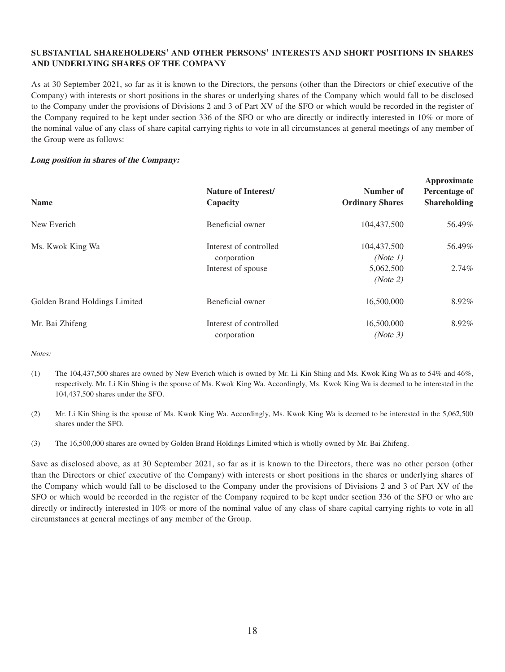## **SUBSTANTIAL SHAREHOLDERS' AND OTHER PERSONS' INTERESTS AND SHORT POSITIONS IN SHARES AND UNDERLYING SHARES OF THE COMPANY**

As at 30 September 2021, so far as it is known to the Directors, the persons (other than the Directors or chief executive of the Company) with interests or short positions in the shares or underlying shares of the Company which would fall to be disclosed to the Company under the provisions of Divisions 2 and 3 of Part XV of the SFO or which would be recorded in the register of the Company required to be kept under section 336 of the SFO or who are directly or indirectly interested in 10% or more of the nominal value of any class of share capital carrying rights to vote in all circumstances at general meetings of any member of the Group were as follows:

### **Long position in shares of the Company:**

| <b>Name</b>                   | <b>Nature of Interest/</b><br>Capacity                      | Number of<br><b>Ordinary Shares</b>              | Approximate<br>Percentage of<br><b>Shareholding</b> |
|-------------------------------|-------------------------------------------------------------|--------------------------------------------------|-----------------------------------------------------|
| New Everich                   | Beneficial owner                                            | 104,437,500                                      | 56.49%                                              |
| Ms. Kwok King Wa              | Interest of controlled<br>corporation<br>Interest of spouse | 104,437,500<br>(Note 1)<br>5,062,500<br>(Note 2) | 56.49%<br>2.74%                                     |
| Golden Brand Holdings Limited | Beneficial owner                                            | 16,500,000                                       | 8.92%                                               |
| Mr. Bai Zhifeng               | Interest of controlled<br>corporation                       | 16,500,000<br>(Note 3)                           | 8.92%                                               |

Notes:

- (1) The 104,437,500 shares are owned by New Everich which is owned by Mr. Li Kin Shing and Ms. Kwok King Wa as to 54% and 46%, respectively. Mr. Li Kin Shing is the spouse of Ms. Kwok King Wa. Accordingly, Ms. Kwok King Wa is deemed to be interested in the 104,437,500 shares under the SFO.
- (2) Mr. Li Kin Shing is the spouse of Ms. Kwok King Wa. Accordingly, Ms. Kwok King Wa is deemed to be interested in the 5,062,500 shares under the SFO.

(3) The 16,500,000 shares are owned by Golden Brand Holdings Limited which is wholly owned by Mr. Bai Zhifeng.

Save as disclosed above, as at 30 September 2021, so far as it is known to the Directors, there was no other person (other than the Directors or chief executive of the Company) with interests or short positions in the shares or underlying shares of the Company which would fall to be disclosed to the Company under the provisions of Divisions 2 and 3 of Part XV of the SFO or which would be recorded in the register of the Company required to be kept under section 336 of the SFO or who are directly or indirectly interested in 10% or more of the nominal value of any class of share capital carrying rights to vote in all circumstances at general meetings of any member of the Group.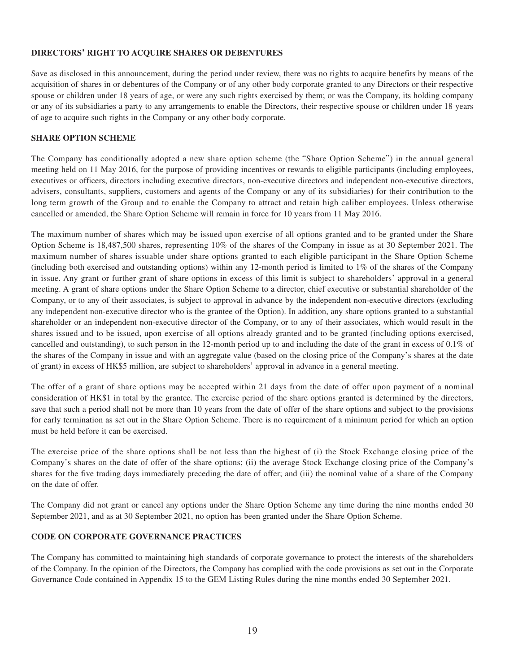### **DIRECTORS' RIGHT TO ACQUIRE SHARES OR DEBENTURES**

Save as disclosed in this announcement, during the period under review, there was no rights to acquire benefits by means of the acquisition of shares in or debentures of the Company or of any other body corporate granted to any Directors or their respective spouse or children under 18 years of age, or were any such rights exercised by them; or was the Company, its holding company or any of its subsidiaries a party to any arrangements to enable the Directors, their respective spouse or children under 18 years of age to acquire such rights in the Company or any other body corporate.

### **SHARE OPTION SCHEME**

The Company has conditionally adopted a new share option scheme (the "Share Option Scheme") in the annual general meeting held on 11 May 2016, for the purpose of providing incentives or rewards to eligible participants (including employees, executives or officers, directors including executive directors, non-executive directors and independent non-executive directors, advisers, consultants, suppliers, customers and agents of the Company or any of its subsidiaries) for their contribution to the long term growth of the Group and to enable the Company to attract and retain high caliber employees. Unless otherwise cancelled or amended, the Share Option Scheme will remain in force for 10 years from 11 May 2016.

The maximum number of shares which may be issued upon exercise of all options granted and to be granted under the Share Option Scheme is 18,487,500 shares, representing 10% of the shares of the Company in issue as at 30 September 2021. The maximum number of shares issuable under share options granted to each eligible participant in the Share Option Scheme (including both exercised and outstanding options) within any 12-month period is limited to 1% of the shares of the Company in issue. Any grant or further grant of share options in excess of this limit is subject to shareholders' approval in a general meeting. A grant of share options under the Share Option Scheme to a director, chief executive or substantial shareholder of the Company, or to any of their associates, is subject to approval in advance by the independent non-executive directors (excluding any independent non-executive director who is the grantee of the Option). In addition, any share options granted to a substantial shareholder or an independent non-executive director of the Company, or to any of their associates, which would result in the shares issued and to be issued, upon exercise of all options already granted and to be granted (including options exercised, cancelled and outstanding), to such person in the 12-month period up to and including the date of the grant in excess of 0.1% of the shares of the Company in issue and with an aggregate value (based on the closing price of the Company's shares at the date of grant) in excess of HK\$5 million, are subject to shareholders' approval in advance in a general meeting.

The offer of a grant of share options may be accepted within 21 days from the date of offer upon payment of a nominal consideration of HK\$1 in total by the grantee. The exercise period of the share options granted is determined by the directors, save that such a period shall not be more than 10 years from the date of offer of the share options and subject to the provisions for early termination as set out in the Share Option Scheme. There is no requirement of a minimum period for which an option must be held before it can be exercised.

The exercise price of the share options shall be not less than the highest of (i) the Stock Exchange closing price of the Company's shares on the date of offer of the share options; (ii) the average Stock Exchange closing price of the Company's shares for the five trading days immediately preceding the date of offer; and (iii) the nominal value of a share of the Company on the date of offer.

The Company did not grant or cancel any options under the Share Option Scheme any time during the nine months ended 30 September 2021, and as at 30 September 2021, no option has been granted under the Share Option Scheme.

### **CODE ON CORPORATE GOVERNANCE PRACTICES**

The Company has committed to maintaining high standards of corporate governance to protect the interests of the shareholders of the Company. In the opinion of the Directors, the Company has complied with the code provisions as set out in the Corporate Governance Code contained in Appendix 15 to the GEM Listing Rules during the nine months ended 30 September 2021.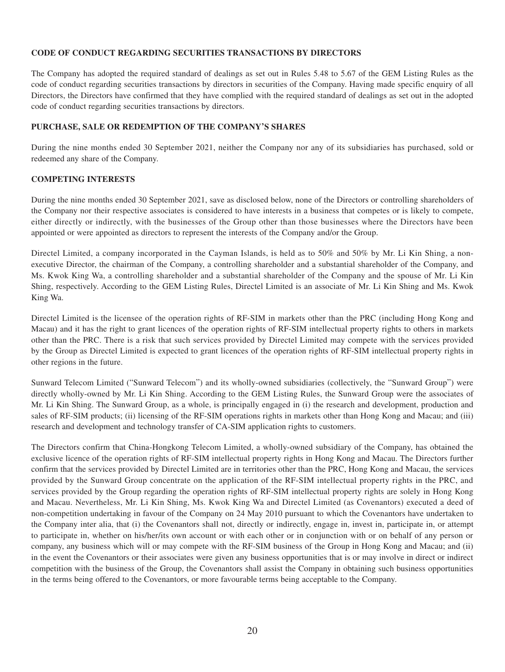## **CODE OF CONDUCT REGARDING SECURITIES TRANSACTIONS BY DIRECTORS**

The Company has adopted the required standard of dealings as set out in Rules 5.48 to 5.67 of the GEM Listing Rules as the code of conduct regarding securities transactions by directors in securities of the Company. Having made specific enquiry of all Directors, the Directors have confirmed that they have complied with the required standard of dealings as set out in the adopted code of conduct regarding securities transactions by directors.

## **PURCHASE, SALE OR REDEMPTION OF THE COMPANY'S SHARES**

During the nine months ended 30 September 2021, neither the Company nor any of its subsidiaries has purchased, sold or redeemed any share of the Company.

## **COMPETING INTERESTS**

During the nine months ended 30 September 2021, save as disclosed below, none of the Directors or controlling shareholders of the Company nor their respective associates is considered to have interests in a business that competes or is likely to compete, either directly or indirectly, with the businesses of the Group other than those businesses where the Directors have been appointed or were appointed as directors to represent the interests of the Company and/or the Group.

Directel Limited, a company incorporated in the Cayman Islands, is held as to 50% and 50% by Mr. Li Kin Shing, a nonexecutive Director, the chairman of the Company, a controlling shareholder and a substantial shareholder of the Company, and Ms. Kwok King Wa, a controlling shareholder and a substantial shareholder of the Company and the spouse of Mr. Li Kin Shing, respectively. According to the GEM Listing Rules, Directel Limited is an associate of Mr. Li Kin Shing and Ms. Kwok King Wa.

Directel Limited is the licensee of the operation rights of RF-SIM in markets other than the PRC (including Hong Kong and Macau) and it has the right to grant licences of the operation rights of RF-SIM intellectual property rights to others in markets other than the PRC. There is a risk that such services provided by Directel Limited may compete with the services provided by the Group as Directel Limited is expected to grant licences of the operation rights of RF-SIM intellectual property rights in other regions in the future.

Sunward Telecom Limited ("Sunward Telecom") and its wholly-owned subsidiaries (collectively, the "Sunward Group") were directly wholly-owned by Mr. Li Kin Shing. According to the GEM Listing Rules, the Sunward Group were the associates of Mr. Li Kin Shing. The Sunward Group, as a whole, is principally engaged in (i) the research and development, production and sales of RF-SIM products; (ii) licensing of the RF-SIM operations rights in markets other than Hong Kong and Macau; and (iii) research and development and technology transfer of CA-SIM application rights to customers.

The Directors confirm that China-Hongkong Telecom Limited, a wholly-owned subsidiary of the Company, has obtained the exclusive licence of the operation rights of RF-SIM intellectual property rights in Hong Kong and Macau. The Directors further confirm that the services provided by Directel Limited are in territories other than the PRC, Hong Kong and Macau, the services provided by the Sunward Group concentrate on the application of the RF-SIM intellectual property rights in the PRC, and services provided by the Group regarding the operation rights of RF-SIM intellectual property rights are solely in Hong Kong and Macau. Nevertheless, Mr. Li Kin Shing, Ms. Kwok King Wa and Directel Limited (as Covenantors) executed a deed of non-competition undertaking in favour of the Company on 24 May 2010 pursuant to which the Covenantors have undertaken to the Company inter alia, that (i) the Covenantors shall not, directly or indirectly, engage in, invest in, participate in, or attempt to participate in, whether on his/her/its own account or with each other or in conjunction with or on behalf of any person or company, any business which will or may compete with the RF-SIM business of the Group in Hong Kong and Macau; and (ii) in the event the Covenantors or their associates were given any business opportunities that is or may involve in direct or indirect competition with the business of the Group, the Covenantors shall assist the Company in obtaining such business opportunities in the terms being offered to the Covenantors, or more favourable terms being acceptable to the Company.